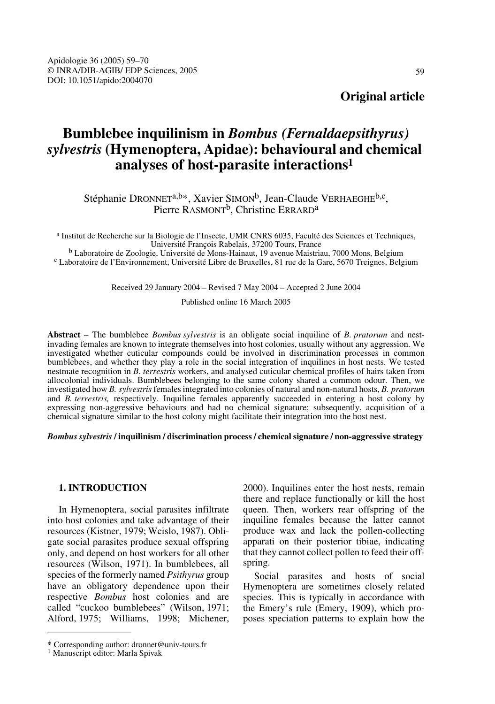## **Original article**

# **Bumblebee inquilinism in** *Bombus (Fernaldaepsithyrus) sylvestris* **(Hymenoptera, Apidae): behavioural and chemical analyses of host-parasite interactions1**

Stéphanie DRONNET<sup>a,b\*</sup>, Xavier SIMON<sup>b</sup>, Jean-Claude VERHAEGHE<sup>b,c</sup>, Pierre RASMONT<sup>b</sup>, Christine ERRARD<sup>a</sup>

a Institut de Recherche sur la Biologie de l'Insecte, UMR CNRS 6035, Faculté des Sciences et Techniques,

<sup>b</sup> Laboratoire de Zoologie, Université de Mons-Hainaut, 19 avenue Maistriau, 7000 Mons, Belgium c Laboratoire de l'Environnement, Université Libre de Bruxelles, 81 rue de la Gare, 5670 Treignes, Belgium

Received 29 January 2004 – Revised 7 May 2004 – Accepted 2 June 2004

Published online 16 March 2005

**Abstract** – The bumblebee *Bombus sylvestris* is an obligate social inquiline of *B. pratorum* and nestinvading females are known to integrate themselves into host colonies, usually without any aggression. We investigated whether cuticular compounds could be involved in discrimination processes in common bumblebees, and whether they play a role in the social integration of inquilines in host nests. We tested nestmate recognition in *B. terrestris* workers, and analysed cuticular chemical profiles of hairs taken from allocolonial individuals. Bumblebees belonging to the same colony shared a common odour. Then, we investigated how *B. sylvestris* females integrated into colonies of natural and non-natural hosts, *B. pratorum* and *B. terrestris,* respectively. Inquiline females apparently succeeded in entering a host colony by expressing non-aggressive behaviours and had no chemical signature; subsequently, acquisition of a chemical signature similar to the host colony might facilitate their integration into the host nest.

*Bombussylvestris* **/ inquilinism / discrimination process / chemical signature / non-aggressive strategy** 

## **1. INTRODUCTION**

In Hymenoptera, social parasites infiltrate into host colonies and take advantage of their resources (Kistner, 1979; Wcislo, 1987). Obligate social parasites produce sexual offspring only, and depend on host workers for all other resources (Wilson, 1971). In bumblebees, all species of the formerly named *Psithyrus* group have an obligatory dependence upon their respective *Bombus* host colonies and are called "cuckoo bumblebees" (Wilson, 1971; Alford, 1975; Williams, 1998; Michener, 2000). Inquilines enter the host nests, remain there and replace functionally or kill the host queen. Then, workers rear offspring of the inquiline females because the latter cannot produce wax and lack the pollen-collecting apparati on their posterior tibiae, indicating that they cannot collect pollen to feed their offspring.

Social parasites and hosts of social Hymenoptera are sometimes closely related species. This is typically in accordance with the Emery's rule (Emery, 1909), which proposes speciation patterns to explain how the

<sup>\*</sup> Corresponding author: dronnet@univ-tours.fr

<sup>1</sup> Manuscript editor: Marla Spivak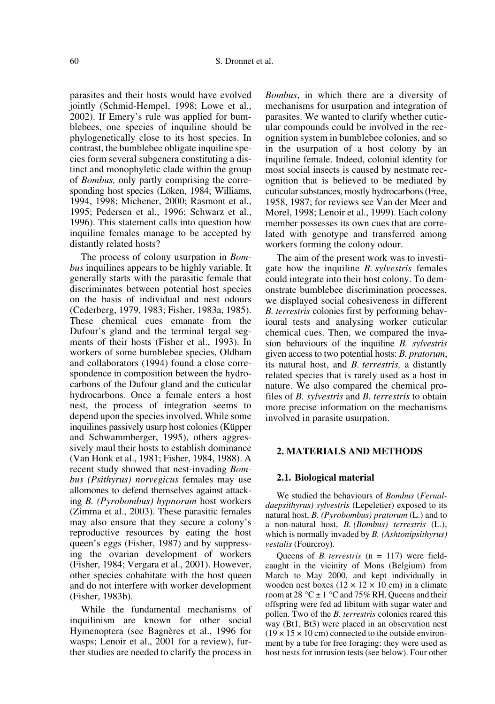parasites and their hosts would have evolved jointly (Schmid-Hempel, 1998; Lowe et al., 2002). If Emery's rule was applied for bumblebees, one species of inquiline should be phylogenetically close to its host species. In contrast, the bumblebee obligate inquiline species form several subgenera constituting a distinct and monophyletic clade within the group of *Bombus,* only partly comprising the corresponding host species (Löken, 1984; Williams, 1994, 1998; Michener, 2000; Rasmont et al., 1995; Pedersen et al., 1996; Schwarz et al., 1996). This statement calls into question how inquiline females manage to be accepted by distantly related hosts?

The process of colony usurpation in *Bombus* inquilines appears to be highly variable. It generally starts with the parasitic female that discriminates between potential host species on the basis of individual and nest odours (Cederberg, 1979, 1983; Fisher, 1983a, 1985). These chemical cues emanate from the Dufour's gland and the terminal tergal segments of their hosts (Fisher et al., 1993). In workers of some bumblebee species, Oldham and collaborators (1994) found a close correspondence in composition between the hydrocarbons of the Dufour gland and the cuticular hydrocarbons. Once a female enters a host nest, the process of integration seems to depend upon the species involved. While some inquilines passively usurp host colonies (Küpper and Schwammberger, 1995), others aggressively maul their hosts to establish dominance (Van Honk et al., 1981; Fisher, 1984, 1988). A recent study showed that nest-invading *Bombus (Psithyrus) norvegicus* females may use allomones to defend themselves against attacking *B. (Pyrobombus) hypnorum* host workers (Zimma et al., 2003). These parasitic females may also ensure that they secure a colony's reproductive resources by eating the host queen's eggs (Fisher, 1987) and by suppressing the ovarian development of workers (Fisher, 1984; Vergara et al., 2001). However, other species cohabitate with the host queen and do not interfere with worker development (Fisher, 1983b).

While the fundamental mechanisms of inquilinism are known for other social Hymenoptera (see Bagnères et al., 1996 for wasps; Lenoir et al., 2001 for a review), further studies are needed to clarify the process in *Bombus*, in which there are a diversity of mechanisms for usurpation and integration of parasites. We wanted to clarify whether cuticular compounds could be involved in the recognition system in bumblebee colonies, and so in the usurpation of a host colony by an inquiline female. Indeed, colonial identity for most social insects is caused by nestmate recognition that is believed to be mediated by cuticular substances, mostly hydrocarbons (Free, 1958, 1987; for reviews see Van der Meer and Morel, 1998; Lenoir et al., 1999). Each colony member possesses its own cues that are correlated with genotype and transferred among workers forming the colony odour.

The aim of the present work was to investigate how the inquiline *B. sylvestris* females could integrate into their host colony. To demonstrate bumblebee discrimination processes, we displayed social cohesiveness in different *B. terrestris* colonies first by performing behavioural tests and analysing worker cuticular chemical cues. Then, we compared the invasion behaviours of the inquiline *B. sylvestris* given access to two potential hosts: *B. pratorum*, its natural host, and *B. terrestris,* a distantly related species that is rarely used as a host in nature. We also compared the chemical profiles of *B. sylvestris* and *B. terrestris* to obtain more precise information on the mechanisms involved in parasite usurpation.

## **2. MATERIALS AND METHODS**

#### **2.1. Biological material**

We studied the behaviours of *Bombus* (*Fernaldaepsithyrus) sylvestris* (Lepeletier) exposed to its natural host, *B. (Pyrobombus) pratorum* (L.) and to a non-natural host, *B. (Bombus) terrestris* (L.), which is normally invaded by *B. (Ashtonipsithyrus) vestalis* (Fourcroy).

Queens of *B. terrestris* (n = 117) were fieldcaught in the vicinity of Mons (Belgium) from March to May 2000, and kept individually in wooden nest boxes  $(12 \times 12 \times 10 \text{ cm})$  in a climate room at 28 °C  $\pm$  1 °C and 75% RH. Queens and their offspring were fed ad libitum with sugar water and pollen. Two of the *B. terrestris* colonies reared this way (Bt1, Bt3) were placed in an observation nest  $(19 \times 15 \times 10 \text{ cm})$  connected to the outside environment by a tube for free foraging: they were used as host nests for intrusion tests (see below). Four other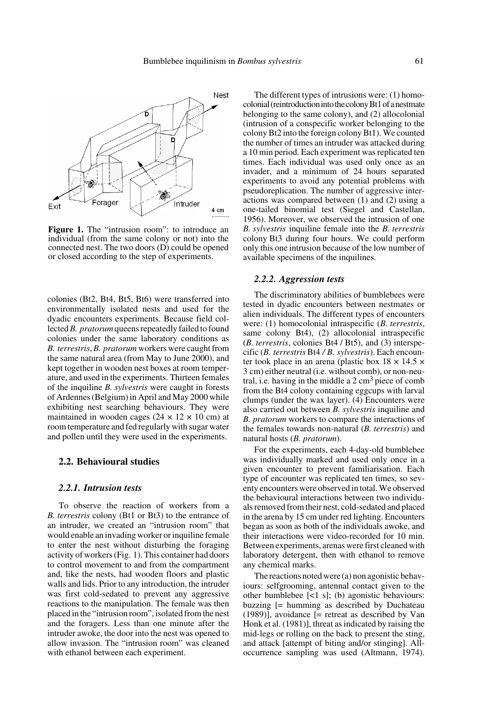

**Figure 1.** The "intrusion room": to introduce an individual (from the same colony or not) into the connected nest. The two doors (D) could be opened or closed according to the step of experiments.

colonies (Bt2, Bt4, Bt5, Bt6) were transferred into environmentally isolated nests and used for the dyadic encounters experiments. Because field collected *B. pratorum* queens repeatedly failed to found colonies under the same laboratory conditions as *B. terrestris*, *B. pratorum* workers were caught from the same natural area (from May to June 2000), and kept together in wooden nest boxes at room temperature, and used in the experiments. Thirteen females of the inquiline *B. sylvestris* were caught in forests of Ardennes (Belgium) in April and May 2000 while exhibiting nest searching behaviours. They were maintained in wooden cages ( $24 \times 12 \times 10$  cm) at room temperature and fed regularly with sugar water and pollen until they were used in the experiments.

#### **2.2. Behavioural studies**

#### *2.2.1. Intrusion tests*

To observe the reaction of workers from a *B. terrestris* colony (Bt1 or Bt3) to the entrance of an intruder, we created an "intrusion room" that would enable an invading worker or inquiline female to enter the nest without disturbing the foraging activity of workers (Fig. 1). This container had doors to control movement to and from the compartment and, like the nests, had wooden floors and plastic walls and lids. Prior to any introduction, the intruder was first cold-sedated to prevent any aggressive reactions to the manipulation. The female was then placed in the "intrusion room", isolated from the nest and the foragers. Less than one minute after the intruder awoke, the door into the nest was opened to allow invasion. The "intrusion room" was cleaned with ethanol between each experiment.

The different types of intrusions were: (1) homocolonial (reintroduction into the colony Bt1 of a nestmate belonging to the same colony), and (2) allocolonial (intrusion of a conspecific worker belonging to the colony Bt2 into the foreign colony Bt1). We counted the number of times an intruder was attacked during a 10 min period. Each experiment was replicated ten times. Each individual was used only once as an invader, and a minimum of 24 hours separated experiments to avoid any potential problems with pseudoreplication. The number of aggressive interactions was compared between (1) and (2) using a one-tailed binomial test (Siegel and Castellan, 1956). Moreover, we observed the intrusion of one *B. sylvestris* inquiline female into the *B. terrestris* colony Bt3 during four hours. We could perform only this one intrusion because of the low number of available specimens of the inquilines.

## *2.2.2. Aggression tests*

The discriminatory abilities of bumblebees were tested in dyadic encounters between nestmates or alien individuals. The different types of encounters were: (1) homocolonial intraspecific (*B. terrestris*, same colony Bt4), (2) allocolonial intraspecific (*B. terrestris*, colonies Bt4 / Bt5), and (3) interspecific (*B. terrestris* Bt4 */ B. sylvestris*). Each encounter took place in an arena (plastic box  $18 \times 14.5 \times$ 3 cm) either neutral (i.e. without comb), or non-neutral, i.e. having in the middle a  $2 \text{ cm}^3$  piece of comb from the Bt4 colony containing eggcups with larval clumps (under the wax layer). (4) Encounters were also carried out between *B. sylvestris* inquiline and *B. pratorum* workers to compare the interactions of the females towards non-natural (*B. terrestris*) and natural hosts (*B. pratorum*).

For the experiments, each 4-day-old bumblebee was individually marked and used only once in a given encounter to prevent familiarisation. Each type of encounter was replicated ten times, so seventy encounters were observed in total. We observed the behavioural interactions between two individuals removed from their nest, cold-sedated and placed in the arena by 15 cm under red lighting. Encounters began as soon as both of the individuals awoke, and their interactions were video-recorded for 10 min. Between experiments, arenas were first cleaned with laboratory detergent, then with ethanol to remove any chemical marks.

The reactions noted were (a) non agonistic behaviours: selfgrooming, antennal contact given to the other bumblebee [<1 s]; (b) agonistic behaviours: buzzing [= humming as described by Duchateau (1989)], avoidance [= retreat as described by Van Honk et al. (1981)], threat as indicated by raising the mid-legs or rolling on the back to present the sting, and attack [attempt of biting and/or stinging]. Alloccurrence sampling was used (Altmann, 1974).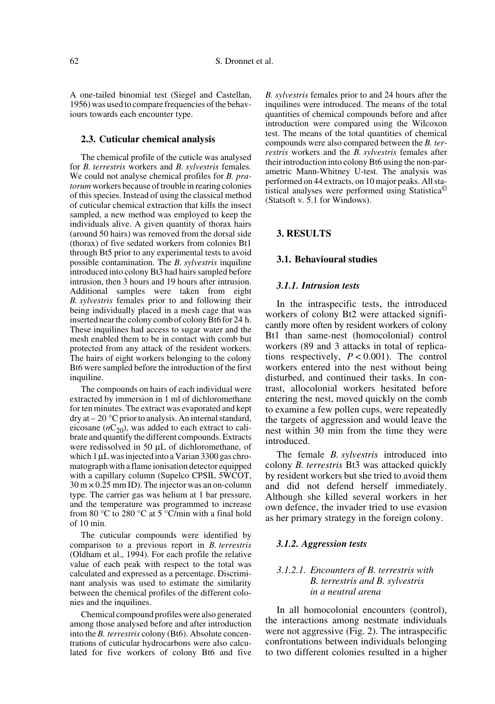A one-tailed binomial test (Siegel and Castellan, 1956) was used to compare frequencies of the behaviours towards each encounter type.

#### **2.3. Cuticular chemical analysis**

The chemical profile of the cuticle was analysed for *B. terrestris* workers and *B. sylvestris* females. We could not analyse chemical profiles for *B. pratorum* workers because of trouble in rearing colonies of this species. Instead of using the classical method of cuticular chemical extraction that kills the insect sampled, a new method was employed to keep the individuals alive. A given quantity of thorax hairs (around 50 hairs) was removed from the dorsal side (thorax) of five sedated workers from colonies Bt1 through Bt5 prior to any experimental tests to avoid possible contamination. The *B. sylvestris* inquiline introduced into colony Bt3 had hairs sampled before intrusion, then 3 hours and 19 hours after intrusion. Additional samples were taken from eight *B. sylvestris* females prior to and following their being individually placed in a mesh cage that was inserted near the colony comb of colony Bt6 for 24 h. These inquilines had access to sugar water and the mesh enabled them to be in contact with comb but protected from any attack of the resident workers. The hairs of eight workers belonging to the colony Bt6 were sampled before the introduction of the first inquiline.

The compounds on hairs of each individual were extracted by immersion in 1 ml of dichloromethane for ten minutes. The extract was evaporated and kept dry at – 20 °C prior to analysis. An internal standard, eicosane  $(nC_{20})$ , was added to each extract to calibrate and quantify the different compounds. Extracts were redissolved in 50 µL of dichloromethane, of which 1 µL was injected into a Varian 3300 gas chromatograph with a flame ionisation detector equipped with a capillary column (Supelco CPSIL 5WCOT,  $30 \text{ m} \times 0.25 \text{ mm}$  ID). The injector was an on-column type. The carrier gas was helium at 1 bar pressure, and the temperature was programmed to increase from 80 °C to 280 °C at 5 °C/min with a final hold of 10 min.

The cuticular compounds were identified by comparison to a previous report in *B. terrestris* (Oldham et al., 1994). For each profile the relative value of each peak with respect to the total was calculated and expressed as a percentage. Discriminant analysis was used to estimate the similarity between the chemical profiles of the different colonies and the inquilines.

Chemical compound profiles were also generated among those analysed before and after introduction into the *B. terrestris* colony (Bt6). Absolute concentrations of cuticular hydrocarbons were also calculated for five workers of colony Bt6 and five

*B. sylvestris* females prior to and 24 hours after the inquilines were introduced. The means of the total quantities of chemical compounds before and after introduction were compared using the Wilcoxon test. The means of the total quantities of chemical compounds were also compared between the *B. terrestris* workers and the *B. sylvestris* females after their introduction into colony Bt6 using the non-parametric Mann-Whitney U-test. The analysis was performed on 44 extracts, on 10 major peaks. All statistical analyses were performed using Statistica© (Statsoft v. 5.1 for Windows).

## **3. RESULTS**

#### **3.1. Behavioural studies**

#### *3.1.1. Intrusion tests*

In the intraspecific tests, the introduced workers of colony Bt2 were attacked significantly more often by resident workers of colony Bt1 than same-nest (homocolonial) control workers (89 and 3 attacks in total of replications respectively, *P* < 0.001). The control workers entered into the nest without being disturbed, and continued their tasks. In contrast, allocolonial workers hesitated before entering the nest, moved quickly on the comb to examine a few pollen cups, were repeatedly the targets of aggression and would leave the nest within 30 min from the time they were introduced.

The female *B. sylvestris* introduced into colony *B. terrestris* Bt3 was attacked quickly by resident workers but she tried to avoid them and did not defend herself immediately. Although she killed several workers in her own defence, the invader tried to use evasion as her primary strategy in the foreign colony.

#### *3.1.2. Aggression tests*

## *3.1.2.1. Encounters of B. terrestris with B. terrestris and B. sylvestris in a neutral arena*

In all homocolonial encounters (control), the interactions among nestmate individuals were not aggressive (Fig. 2). The intraspecific confrontations between individuals belonging to two different colonies resulted in a higher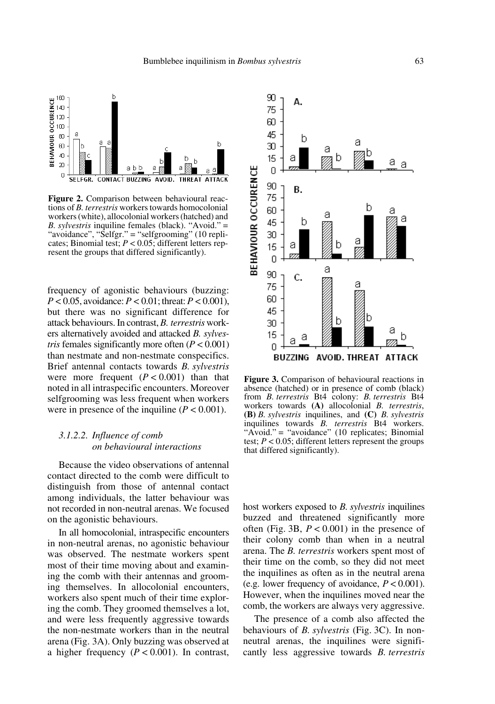

**Figure 2.** Comparison between behavioural reactions of *B. terrestris* workers towards homocolonial workers (white), allocolonial workers (hatched) and *B. sylvestris* inquiline females (black). "Avoid." = "avoidance", "Selfgr." = "selfgrooming" (10 replicates; Binomial test; *P* < 0.05; different letters represent the groups that differed significantly).

frequency of agonistic behaviours (buzzing: *P* < 0.05, avoidance: *P* < 0.01; threat: *P* < 0.001), but there was no significant difference for attack behaviours. In contrast, *B. terrestris* workers alternatively avoided and attacked *B. sylvestris* females significantly more often  $(P < 0.001)$ than nestmate and non-nestmate conspecifics. Brief antennal contacts towards *B. sylvestris* were more frequent  $(P < 0.001)$  than that noted in all intraspecific encounters. Moreover selfgrooming was less frequent when workers were in presence of the inquiline  $(P < 0.001)$ .

## *3.1.2.2. Influence of comb on behavioural interactions*

Because the video observations of antennal contact directed to the comb were difficult to distinguish from those of antennal contact among individuals, the latter behaviour was not recorded in non-neutral arenas. We focused on the agonistic behaviours.

In all homocolonial, intraspecific encounters in non-neutral arenas, no agonistic behaviour was observed. The nestmate workers spent most of their time moving about and examining the comb with their antennas and grooming themselves. In allocolonial encounters, workers also spent much of their time exploring the comb. They groomed themselves a lot, and were less frequently aggressive towards the non-nestmate workers than in the neutral arena (Fig. 3A). Only buzzing was observed at a higher frequency  $(P < 0.001)$ . In contrast,



**Figure 3.** Comparison of behavioural reactions in absence (hatched) or in presence of comb (black) from *B. terrestris* Bt4 colony: *B. terrestris* Bt4 workers towards **(A)** allocolonial *B. terrestris*, **(B)** *B. sylvestris* inquilines, and **(C)** *B. sylvestris* inquilines towards *B. terrestris* Bt4 workers. "Avoid." = "avoidance" (10 replicates; Binomial test;  $P < 0.05$ ; different letters represent the groups that differed significantly).

host workers exposed to *B. sylvestris* inquilines buzzed and threatened significantly more often (Fig. 3B,  $P < 0.001$ ) in the presence of their colony comb than when in a neutral arena. The *B. terrestris* workers spent most of their time on the comb, so they did not meet the inquilines as often as in the neutral arena (e.g. lower frequency of avoidance, *P* < 0.001). However, when the inquilines moved near the comb, the workers are always very aggressive.

The presence of a comb also affected the behaviours of *B. sylvestris* (Fig. 3C). In nonneutral arenas, the inquilines were significantly less aggressive towards *B. terrestris*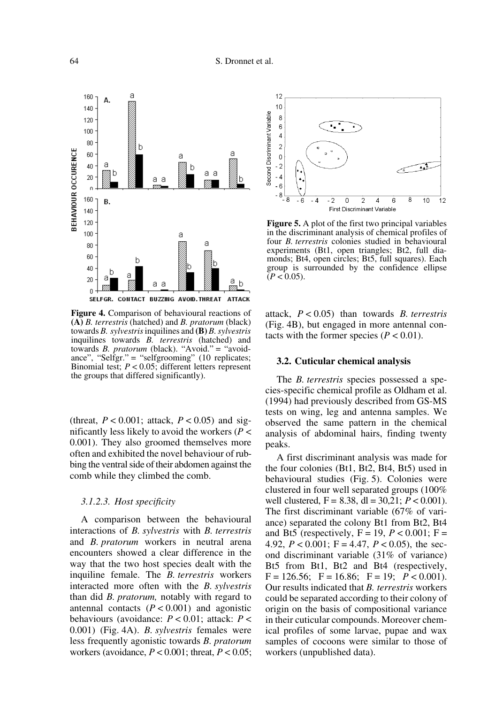

**Figure 4.** Comparison of behavioural reactions of **(A)** *B. terrestris* (hatched) and *B. pratorum* (black) towards *B. sylvestris* inquilines and **(B)** *B. sylvestris* inquilines towards *B. terrestris* (hatched) and towards *B. pratorum* (black). "Avoid." = "avoidance", "Selfgr." = "selfgrooming" (10 replicates; Binomial test; *P* < 0.05; different letters represent the groups that differed significantly).

(threat,  $P < 0.001$ ; attack,  $P < 0.05$ ) and significantly less likely to avoid the workers (*P* < 0.001). They also groomed themselves more often and exhibited the novel behaviour of rubbing the ventral side of their abdomen against the comb while they climbed the comb.

#### *3.1.2.3. Host specificity*

A comparison between the behavioural interactions of *B. sylvestris* with *B. terrestris* and *B. pratorum* workers in neutral arena encounters showed a clear difference in the way that the two host species dealt with the inquiline female. The *B. terrestris* workers interacted more often with the *B. sylvestris* than did *B. pratorum,* notably with regard to antennal contacts  $(P < 0.001)$  and agonistic behaviours (avoidance: *P* < 0.01; attack: *P* < 0.001) (Fig. 4A). *B. sylvestris* females were less frequently agonistic towards *B. pratorum* workers (avoidance, *P* < 0.001; threat, *P* < 0.05;



**Figure 5.** A plot of the first two principal variables in the discriminant analysis of chemical profiles of four *B. terrestris* colonies studied in behavioural experiments (Bt1, open triangles; Bt2, full diamonds; Bt4, open circles; Bt5, full squares). Each group is surrounded by the confidence ellipse  $(P < 0.05)$ .

attack, *P* < 0.05) than towards *B. terrestris* (Fig. 4B), but engaged in more antennal contacts with the former species  $(P < 0.01)$ .

## **3.2. Cuticular chemical analysis**

The *B. terrestris* species possessed a species-specific chemical profile as Oldham et al. (1994) had previously described from GS-MS tests on wing, leg and antenna samples. We observed the same pattern in the chemical analysis of abdominal hairs, finding twenty peaks.

A first discriminant analysis was made for the four colonies (Bt1, Bt2, Bt4, Bt5) used in behavioural studies (Fig. 5). Colonies were clustered in four well separated groups (100% well clustered,  $F = 8.38$ , dl = 30,21;  $P < 0.001$ ). The first discriminant variable (67% of variance) separated the colony Bt1 from Bt2, Bt4 and Bt5 (respectively,  $F = 19$ ,  $P < 0.001$ ;  $F =$ 4.92,  $P < 0.001$ ; F = 4.47,  $P < 0.05$ ), the second discriminant variable (31% of variance) Bt5 from Bt1, Bt2 and Bt4 (respectively,  $F = 126.56$ ;  $F = 16.86$ ;  $F = 19$ ;  $P < 0.001$ ). Our results indicated that *B. terrestris* workers could be separated according to their colony of origin on the basis of compositional variance in their cuticular compounds. Moreover chemical profiles of some larvae, pupae and wax samples of cocoons were similar to those of workers (unpublished data).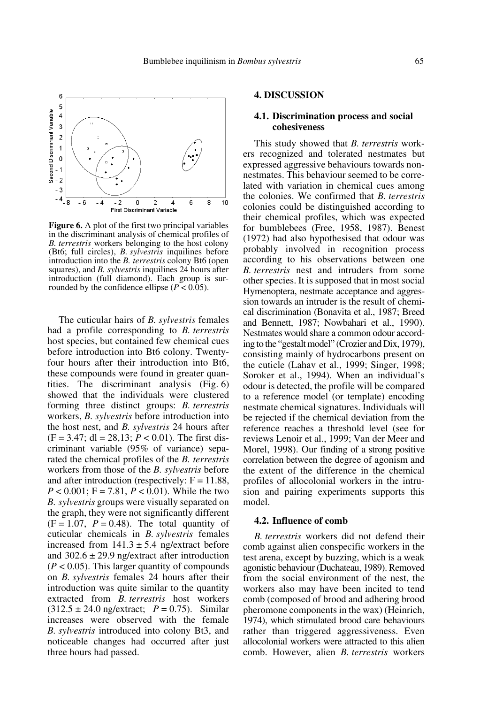

**Figure 6.** A plot of the first two principal variables in the discriminant analysis of chemical profiles of *B. terrestris* workers belonging to the host colony (Bt6; full circles), *B. sylvestris* inquilines before introduction into the *B. terrestris* colony Bt6 (open squares), and *B. sylvestris* inquilines 24 hours after introduction (full diamond). Each group is surrounded by the confidence ellipse  $(P < 0.05)$ .

The cuticular hairs of *B. sylvestris* females had a profile corresponding to *B. terrestris* host species, but contained few chemical cues before introduction into Bt6 colony. Twentyfour hours after their introduction into Bt6, these compounds were found in greater quantities. The discriminant analysis (Fig. 6) showed that the individuals were clustered forming three distinct groups: *B. terrestris* workers, *B. sylvestris* before introduction into the host nest, and *B. sylvestris* 24 hours after  $(F = 3.47; dl = 28,13; P < 0.01)$ . The first discriminant variable (95% of variance) separated the chemical profiles of the *B. terrestris* workers from those of the *B. sylvestris* before and after introduction (respectively:  $F = 11.88$ , *P* < 0.001; F = 7.81, *P* < 0.01). While the two *B. sylvestris* groups were visually separated on the graph, they were not significantly different  $(F = 1.07, P = 0.48)$ . The total quantity of cuticular chemicals in *B. sylvestris* females increased from  $141.3 \pm 5.4$  ng/extract before and  $302.6 \pm 29.9$  ng/extract after introduction  $(P < 0.05)$ . This larger quantity of compounds on *B. sylvestris* females 24 hours after their introduction was quite similar to the quantity extracted from *B. terrestris* host workers  $(312.5 \pm 24.0 \text{ ng/extract}; P = 0.75)$ . Similar increases were observed with the female *B. sylvestris* introduced into colony Bt3, and noticeable changes had occurred after just three hours had passed.

## **4. DISCUSSION**

#### **4.1. Discrimination process and social cohesiveness**

This study showed that *B. terrestris* workers recognized and tolerated nestmates but expressed aggressive behaviours towards nonnestmates. This behaviour seemed to be correlated with variation in chemical cues among the colonies. We confirmed that *B. terrestris* colonies could be distinguished according to their chemical profiles, which was expected for bumblebees (Free, 1958, 1987). Benest (1972) had also hypothesised that odour was probably involved in recognition process according to his observations between one *B. terrestris* nest and intruders from some other species. It is supposed that in most social Hymenoptera, nestmate acceptance and aggression towards an intruder is the result of chemical discrimination (Bonavita et al., 1987; Breed and Bennett, 1987; Nowbahari et al., 1990). Nestmates would share a common odour according to the "gestalt model" (Crozier and Dix, 1979), consisting mainly of hydrocarbons present on the cuticle (Lahav et al., 1999; Singer, 1998; Soroker et al., 1994). When an individual's odour is detected, the profile will be compared to a reference model (or template) encoding nestmate chemical signatures. Individuals will be rejected if the chemical deviation from the reference reaches a threshold level (see for reviews Lenoir et al., 1999; Van der Meer and Morel, 1998). Our finding of a strong positive correlation between the degree of agonism and the extent of the difference in the chemical profiles of allocolonial workers in the intrusion and pairing experiments supports this model.

## **4.2. Influence of comb**

*B. terrestris* workers did not defend their comb against alien conspecific workers in the test arena, except by buzzing, which is a weak agonistic behaviour (Duchateau, 1989). Removed from the social environment of the nest, the workers also may have been incited to tend comb (composed of brood and adhering brood pheromone components in the wax) (Heinrich, 1974), which stimulated brood care behaviours rather than triggered aggressiveness. Even allocolonial workers were attracted to this alien comb. However, alien *B. terrestris* workers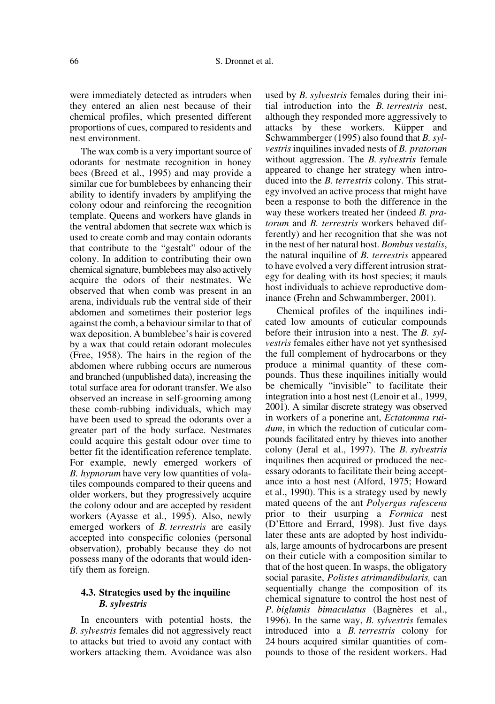were immediately detected as intruders when they entered an alien nest because of their chemical profiles, which presented different proportions of cues, compared to residents and nest environment.

The wax comb is a very important source of odorants for nestmate recognition in honey bees (Breed et al., 1995) and may provide a similar cue for bumblebees by enhancing their ability to identify invaders by amplifying the colony odour and reinforcing the recognition template. Queens and workers have glands in the ventral abdomen that secrete wax which is used to create comb and may contain odorants that contribute to the "gestalt" odour of the colony. In addition to contributing their own chemical signature, bumblebees may also actively acquire the odors of their nestmates. We observed that when comb was present in an arena, individuals rub the ventral side of their abdomen and sometimes their posterior legs against the comb, a behaviour similar to that of wax deposition. A bumblebee's hair is covered by a wax that could retain odorant molecules (Free, 1958). The hairs in the region of the abdomen where rubbing occurs are numerous and branched (unpublished data), increasing the total surface area for odorant transfer. We also observed an increase in self-grooming among these comb-rubbing individuals, which may have been used to spread the odorants over a greater part of the body surface. Nestmates could acquire this gestalt odour over time to better fit the identification reference template. For example, newly emerged workers of *B. hypnorum* have very low quantities of volatiles compounds compared to their queens and older workers, but they progressively acquire the colony odour and are accepted by resident workers (Ayasse et al., 1995). Also, newly emerged workers of *B. terrestris* are easily accepted into conspecific colonies (personal observation), probably because they do not possess many of the odorants that would identify them as foreign.

## **4.3. Strategies used by the inquiline**  *B. sylvestris*

In encounters with potential hosts, the *B. sylvestris* females did not aggressively react to attacks but tried to avoid any contact with workers attacking them. Avoidance was also

used by *B. sylvestris* females during their initial introduction into the *B. terrestris* nest, although they responded more aggressively to attacks by these workers. Küpper and Schwammberger (1995) also found that *B. sylvestris* inquilines invaded nests of *B. pratorum* without aggression. The *B. sylvestris* female appeared to change her strategy when introduced into the *B. terrestris* colony. This strategy involved an active process that might have been a response to both the difference in the way these workers treated her (indeed *B. pratorum* and *B. terrestris* workers behaved differently) and her recognition that she was not in the nest of her natural host. *Bombus vestalis*, the natural inquiline of *B. terrestris* appeared to have evolved a very different intrusion strategy for dealing with its host species; it mauls host individuals to achieve reproductive dominance (Frehn and Schwammberger, 2001).

Chemical profiles of the inquilines indicated low amounts of cuticular compounds before their intrusion into a nest. The *B. sylvestris* females either have not yet synthesised the full complement of hydrocarbons or they produce a minimal quantity of these compounds. Thus these inquilines initially would be chemically "invisible" to facilitate their integration into a host nest (Lenoir et al., 1999, 2001). A similar discrete strategy was observed in workers of a ponerine ant, *Ectatomma ruidum*, in which the reduction of cuticular compounds facilitated entry by thieves into another colony (Jeral et al., 1997). The *B. sylvestris* inquilines then acquired or produced the necessary odorants to facilitate their being acceptance into a host nest (Alford, 1975; Howard et al., 1990). This is a strategy used by newly mated queens of the ant *Polyergus rufescens* prior to their usurping a *Formica* nest (D'Ettore and Errard, 1998). Just five days later these ants are adopted by host individuals, large amounts of hydrocarbons are present on their cuticle with a composition similar to that of the host queen. In wasps, the obligatory social parasite, *Polistes atrimandibularis,* can sequentially change the composition of its chemical signature to control the host nest of *P. biglumis bimaculatus* (Bagnères et al., 1996). In the same way, *B. sylvestris* females introduced into a *B. terrestris* colony for 24 hours acquired similar quantities of compounds to those of the resident workers. Had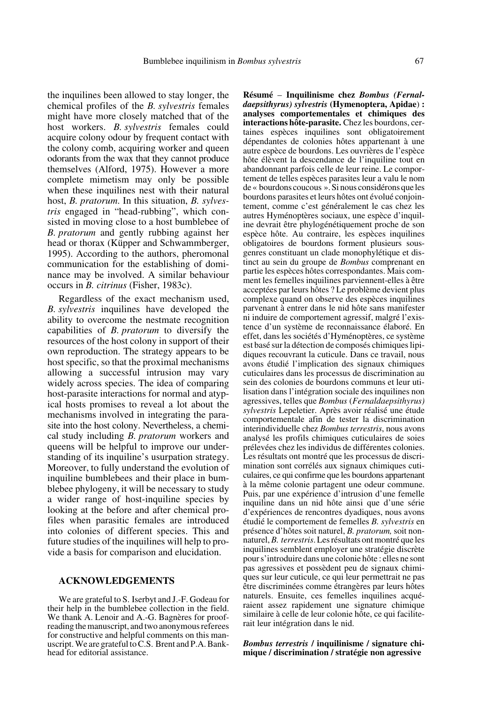the inquilines been allowed to stay longer, the chemical profiles of the *B. sylvestris* females might have more closely matched that of the host workers. *B. sylvestris* females could acquire colony odour by frequent contact with the colony comb, acquiring worker and queen odorants from the wax that they cannot produce themselves (Alford, 1975). However a more complete mimetism may only be possible when these inquilines nest with their natural host, *B. pratorum*. In this situation, *B. sylvestris* engaged in "head-rubbing", which consisted in moving close to a host bumblebee of *B. pratorum* and gently rubbing against her head or thorax (Küpper and Schwammberger, 1995). According to the authors, pheromonal communication for the establishing of dominance may be involved. A similar behaviour occurs in *B. citrinus* (Fisher, 1983c).

Regardless of the exact mechanism used, *B. sylvestris* inquilines have developed the ability to overcome the nestmate recognition capabilities of *B. pratorum* to diversify the resources of the host colony in support of their own reproduction. The strategy appears to be host specific, so that the proximal mechanisms allowing a successful intrusion may vary widely across species. The idea of comparing host-parasite interactions for normal and atypical hosts promises to reveal a lot about the mechanisms involved in integrating the parasite into the host colony. Nevertheless, a chemical study including *B. pratorum* workers and queens will be helpful to improve our understanding of its inquiline's usurpation strategy. Moreover, to fully understand the evolution of inquiline bumblebees and their place in bumblebee phylogeny, it will be necessary to study a wider range of host-inquiline species by looking at the before and after chemical profiles when parasitic females are introduced into colonies of different species. This and future studies of the inquilines will help to provide a basis for comparison and elucidation.

## **ACKNOWLEDGEMENTS**

We are grateful to S. Iserbyt and J.-F. Godeau for their help in the bumblebee collection in the field. We thank A. Lenoir and A.-G. Bagnères for proofreading the manuscript, and two anonymous referees for constructive and helpful comments on this manuscript. We are grateful to C.S. Brent and P.A. Bankhead for editorial assistance.

**Résumé** – **Inquilinisme chez** *Bombus (Fernaldaepsithyrus) sylvestris* **(Hymenoptera, Apidae**) **: analyses comportementales et chimiques des interactions hôte-parasite.** Chez les bourdons, certaines espèces inquilines sont obligatoirement dépendantes de colonies hôtes appartenant à une autre espèce de bourdons. Les ouvrières de l'espèce hôte élèvent la descendance de l'inquiline tout en abandonnant parfois celle de leur reine. Le comportement de telles espèces parasites leur a valu le nom de « bourdons coucous ». Si nous considérons que les bourdons parasites et leurs hôtes ont évolué conjointement, comme c'est généralement le cas chez les autres Hyménoptères sociaux, une espèce d'inquiline devrait être phylogénétiquement proche de son espèce hôte. Au contraire, les espèces inquilines obligatoires de bourdons forment plusieurs sousgenres constituant un clade monophylétique et distinct au sein du groupe de *Bombus* comprenant en partie les espèces hôtes correspondantes. Mais comment les femelles inquilines parviennent-elles à être acceptées par leurs hôtes ? Le problème devient plus complexe quand on observe des espèces inquilines parvenant à entrer dans le nid hôte sans manifester ni induire de comportement agressif, malgré l'existence d'un système de reconnaissance élaboré. En effet, dans les sociétés d'Hyménoptères, ce système est basé sur la détection de composés chimiques lipidiques recouvrant la cuticule. Dans ce travail, nous avons étudié l'implication des signaux chimiques cuticulaires dans les processus de discrimination au sein des colonies de bourdons communs et leur utilisation dans l'intégration sociale des inquilines non agressives, telles que *Bombus* (*Fernaldaepsithyrus) sylvestris* Lepeletier. Après avoir réalisé une étude comportementale afin de tester la discrimination interindividuelle chez *Bombus terrestris*, nous avons analysé les profils chimiques cuticulaires de soies prélevées chez les individus de différentes colonies. Les résultats ont montré que les processus de discrimination sont corrélés aux signaux chimiques cuticulaires, ce qui confirme que les bourdons appartenant à la même colonie partagent une odeur commune. Puis, par une expérience d'intrusion d'une femelle inquiline dans un nid hôte ainsi que d'une série d'expériences de rencontres dyadiques, nous avons étudié le comportement de femelles *B. sylvestris* en présence d'hôtes soit naturel, *B. pratorum,* soit nonnaturel, *B. terrestris*. Les résultats ont montré que les inquilines semblent employer une stratégie discrète pour s'introduire dans une colonie hôte : elles ne sont pas agressives et possèdent peu de signaux chimiques sur leur cuticule, ce qui leur permettrait ne pas être discriminées comme étrangères par leurs hôtes naturels. Ensuite, ces femelles inquilines acquéraient assez rapidement une signature chimique similaire à celle de leur colonie hôte, ce qui faciliterait leur intégration dans le nid.

*Bombus terrestris* **/ inquilinisme / signature chimique / discrimination / stratégie non agressive**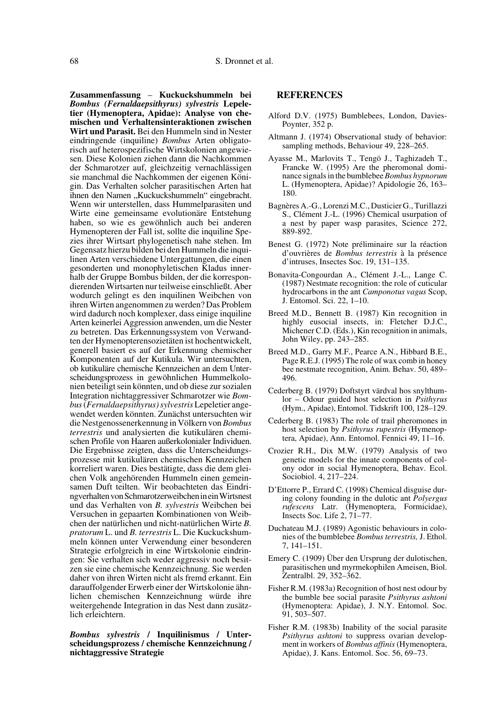**Zusammenfassung** – **Kuckuckshummeln bei** *Bombus (Fernaldaepsithyrus) sylvestris* **Lepeletier (Hymenoptera, Apidae): Analyse von chemischen und Verhaltensinteraktionen zwischen Wirt und Parasit.** Bei den Hummeln sind in Nester eindringende (inquiline) *Bombus* Arten obligatorisch auf heterospezifische Wirtskolonien angewiesen. Diese Kolonien ziehen dann die Nachkommen der Schmarotzer auf, gleichzeitig vernachlässigen sie manchmal die Nachkommen der eigenen Königin. Das Verhalten solcher parasitischen Arten hat ihnen den Namen "Kuckuckshummeln" eingebracht. Wenn wir unterstellen, dass Hummelparasiten und Wirte eine gemeinsame evolutionäre Entstehung haben, so wie es gewöhnlich auch bei anderen Hymenopteren der Fall ist, sollte die inquiline Spezies ihrer Wirtsart phylogenetisch nahe stehen. Im Gegensatz hierzu bilden bei den Hummeln die inquilinen Arten verschiedene Untergattungen, die einen gesonderten und monophyletischen Kladus innerhalb der Gruppe Bombus bilden, der die korrespondierenden Wirtsarten nur teilweise einschließt. Aber wodurch gelingt es den inquilinen Weibchen von ihren Wirten angenommen zu werden? Das Problem wird dadurch noch komplexer, dass einige inquiline Arten keinerlei Aggression anwenden, um die Nester zu betreten. Das Erkennungssystem von Verwandten der Hymenopterensozietäten ist hochentwickelt, generell basiert es auf der Erkennung chemischer Komponenten auf der Kutikula. Wir untersuchten, ob kutikuläre chemische Kennzeichen an dem Unterscheidungsprozess in gewöhnlichen Hummelkolonien beteiligt sein könnten, und ob diese zur sozialen Integration nichtaggressiver Schmarotzer wie *Bombus* (*Fernaldaepsithyrus) sylvestris* Lepeletier angewendet werden könnten. Zunächst untersuchten wir die Nestgenossenerkennung in Völkern von *Bombus terrestris* und analysierten die kutikulären chemischen Profile von Haaren außerkolonialer Individuen. Die Ergebnisse zeigten, dass die Unterscheidungsprozesse mit kutikulären chemischen Kennzeichen korreliert waren. Dies bestätigte, dass die dem gleichen Volk angehörenden Hummeln einen gemeinsamen Duft teilten. Wir beobachteten das Eindringverhalten von Schmarotzerweibchen in ein Wirtsnest und das Verhalten von *B. sylvestris* Weibchen bei Versuchen in gepaarten Kombinationen von Weibchen der natürlichen und nicht-natürlichen Wirte *B. pratorum* L. und *B. terrestris* L. Die Kuckuckshummeln können unter Verwendung einer besonderen Strategie erfolgreich in eine Wirtskolonie eindringen: Sie verhalten sich weder aggressiv noch besitzen sie eine chemische Kennzeichnung. Sie werden daher von ihren Wirten nicht als fremd erkannt. Ein darauffolgender Erwerb einer der Wirtskolonie ähnlichen chemischen Kennzeichnung würde ihre weitergehende Integration in das Nest dann zusätzlich erleichtern.

#### *Bombus sylvestris* **/ Inquilinismus / Unterscheidungsprozess / chemische Kennzeichnung / nichtaggressive Strategie**

#### **REFERENCES**

- Alford D.V. (1975) Bumblebees, London, Davies-Poynter, 352 p.
- Altmann J. (1974) Observational study of behavior: sampling methods, Behaviour 49, 228–265.
- Ayasse M., Marlovits T., Tengö J., Taghizadeh T., Francke W. (1995) Are the pheromonal dominance signals in the bumblebee *Bombus hypnorum* L. (Hymenoptera, Apidae)? Apidologie 26, 163– 180.
- Bagnères A.-G., Lorenzi M.C., Dusticier G., Turillazzi S., Clément J.-L. (1996) Chemical usurpation of a nest by paper wasp parasites, Science 272, 889-892.
- Benest G. (1972) Note préliminaire sur la réaction d'ouvrières de *Bombus terrestris* à la présence d'intruses, Insectes Soc. 19, 131–135.
- Bonavita-Congourdan A., Clément J.-L., Lange C. (1987) Nestmate recognition: the role of cuticular hydrocarbons in the ant *Camponotus vagus* Scop, J. Entomol. Sci. 22, 1–10.
- Breed M.D., Bennett B. (1987) Kin recognition in highly eusocial insects, in: Fletcher D.J.C., Michener C.D. (Eds.), Kin recognition in animals, John Wiley, pp. 243–285.
- Breed M.D., Garry M.F., Pearce A.N., Hibbard B.E., Page R.E.J. (1995) The role of wax comb in honey bee nestmate recognition, Anim. Behav. 50, 489– 496.
- Cederberg B. (1979) Doftstyrt värdval hos snylthumlor – Odour guided host selection in *Psithyrus* (Hym., Apidae), Entomol. Tidskrift 100, 128–129.
- Cederberg B. (1983) The role of trail pheromones in host selection by *Psithyrus rupestris* (Hymenoptera, Apidae), Ann. Entomol. Fennici 49, 11–16.
- Crozier R.H., Dix M.W. (1979) Analysis of two genetic models for the innate components of colony odor in social Hymenoptera, Behav. Ecol. Sociobiol. 4, 217–224.
- D'Ettorre P., Errard C. (1998) Chemical disguise during colony founding in the dulotic ant *Polyergus rufescens* Latr. (Hymenoptera, Formicidae), Insects Soc. Life 2, 71–77.
- Duchateau M.J. (1989) Agonistic behaviours in colonies of the bumblebee *Bombus terrestris,* J. Ethol. 7, 141–151.
- Emery C. (1909) Über den Ursprung der dulotischen, parasitischen und myrmekophilen Ameisen, Biol. Zentralbl. 29, 352–362.
- Fisher R.M. (1983a) Recognition of host nest odour by the bumble bee social parasite *Psithyrus ashtoni* (Hymenoptera: Apidae), J. N.Y. Entomol. Soc. 91, 503–507.
- Fisher R.M. (1983b) Inability of the social parasite *Psithyrus ashtoni* to suppress ovarian development in workers of *Bombus affinis* (Hymenoptera, Apidae), J. Kans. Entomol. Soc. 56, 69–73.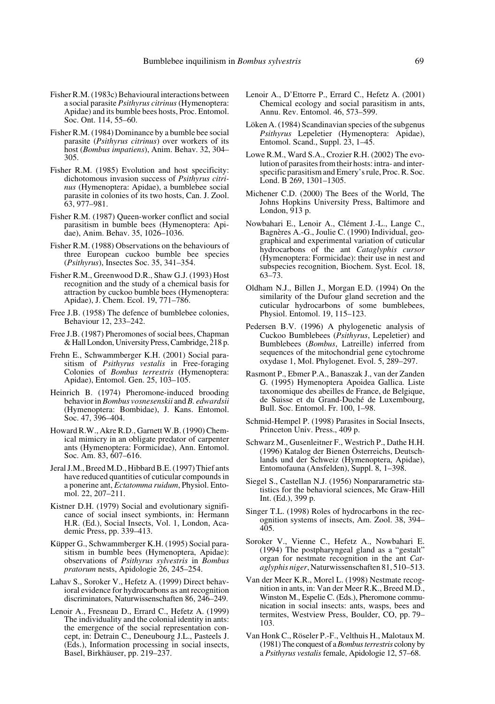- Fisher R.M. (1983c) Behavioural interactions between a social parasite *Psithyrus citrinus* (Hymenoptera: Apidae) and its bumble bees hosts, Proc. Entomol. Soc. Ont. 114, 55–60.
- Fisher R.M. (1984) Dominance by a bumble bee social parasite (*Psithyrus citrinus*) over workers of its host (*Bombus impatiens*), Anim. Behav. 32, 304– 305.
- Fisher R.M. (1985) Evolution and host specificity: dichotomous invasion success of *Psithyrus citrinus* (Hymenoptera: Apidae), a bumblebee social parasite in colonies of its two hosts, Can. J. Zool. 63, 977–981.
- Fisher R.M. (1987) Queen-worker conflict and social parasitism in bumble bees (Hymenoptera: Apidae), Anim. Behav. 35, 1026–1036.
- Fisher R.M. (1988) Observations on the behaviours of three European cuckoo bumble bee species (*Psithyrus*), Insectes Soc. 35, 341–354.
- Fisher R.M., Greenwood D.R., Shaw G.J. (1993) Host recognition and the study of a chemical basis for attraction by cuckoo bumble bees (Hymenoptera: Apidae), J. Chem. Ecol. 19, 771–786.
- Free J.B. (1958) The defence of bumblebee colonies, Behaviour 12, 233–242.
- Free J.B. (1987) Pheromones of social bees, Chapman & Hall London, University Press, Cambridge, 218 p.
- Frehn E., Schwammberger K.H. (2001) Social parasitism of *Psithyrus vestalis* in Free-foraging Colonies of *Bombus terrestris* (Hymenoptera: Apidae), Entomol. Gen. 25, 103–105.
- Heinrich B. (1974) Pheromone-induced brooding behavior in *Bombus vosnesenskii* and *B. edwardsii* (Hymenoptera: Bombidae), J. Kans. Entomol. Soc. 47, 396–404.
- Howard R.W., Akre R.D., Garnett W.B. (1990) Chemical mimicry in an obligate predator of carpenter ants (Hymenoptera: Formicidae), Ann. Entomol. Soc. Am. 83, 607–616.
- Jeral J.M., Breed M.D., Hibbard B.E. (1997) Thief ants have reduced quantities of cuticular compounds in a ponerine ant, *Ectatomma ruidum*, Physiol. Entomol. 22, 207–211.
- Kistner D.H. (1979) Social and evolutionary significance of social insect symbionts, in: Hermann H.R. (Ed.), Social Insects, Vol. 1, London, Academic Press, pp. 339–413.
- Küpper G., Schwammberger K.H. (1995) Social parasitism in bumble bees (Hymenoptera, Apidae): observations of *Psithyrus sylvestris* in *Bombus pratorum* nests, Apidologie 26, 245–254.
- Lahav S., Soroker V., Hefetz A. (1999) Direct behavioral evidence for hydrocarbons as ant recognition discriminators, Naturwissenschaften 86, 246–249.
- Lenoir A., Fresneau D., Errard C., Hefetz A. (1999) The individuality and the colonial identity in ants: the emergence of the social representation concept, in: Detrain C., Deneubourg J.L., Pasteels J. (Eds.), Information processing in social insects, Basel, Birkhäuser, pp. 219–237.
- Lenoir A., D'Ettorre P., Errard C., Hefetz A. (2001) Chemical ecology and social parasitism in ants, Annu. Rev. Entomol. 46, 573–599.
- Löken A. (1984) Scandinavian species of the subgenus *Psithyrus* Lepeletier (Hymenoptera: Apidae), Entomol. Scand., Suppl. 23, 1–45.
- Lowe R.M., Ward S.A., Crozier R.H. (2002) The evolution of parasites from their hosts: intra- and interspecific parasitism and Emery's rule, Proc. R. Soc. Lond. B 269, 1301–1305.
- Michener C.D. (2000) The Bees of the World, The Johns Hopkins University Press, Baltimore and London, 913 p.
- Nowbahari E., Lenoir A., Clément J.-L., Lange C., Bagnères A.-G., Joulie C. (1990) Individual, geographical and experimental variation of cuticular hydrocarbons of the ant *Cataglyphis cursor* (Hymenoptera: Formicidae): their use in nest and subspecies recognition, Biochem. Syst. Ecol. 18, 63–73.
- Oldham N.J., Billen J., Morgan E.D. (1994) On the similarity of the Dufour gland secretion and the cuticular hydrocarbons of some bumblebees, Physiol. Entomol. 19, 115–123.
- Pedersen B.V. (1996) A phylogenetic analysis of Cuckoo Bumblebees (*Psithyrus*, Lepeletier) and Bumblebees (*Bombus*, Latreille) inferred from sequences of the mitochondrial gene cytochrome oxydase 1, Mol. Phylogenet. Evol. 5, 289–297.
- Rasmont P., Ebmer P.A., Banaszak J., van der Zanden G. (1995) Hymenoptera Apoidea Gallica. Liste taxonomique des abeilles de France, de Belgique, de Suisse et du Grand-Duché de Luxembourg, Bull. Soc. Entomol. Fr. 100, 1–98.
- Schmid-Hempel P. (1998) Parasites in Social Insects, Princeton Univ. Press., 409 p.
- Schwarz M., Gusenleitner F., Westrich P., Dathe H.H. (1996) Katalog der Bienen Österreichs, Deutschlands und der Schweiz (Hymenoptera, Apidae), Entomofauna (Ansfelden), Suppl. 8, 1–398.
- Siegel S., Castellan N.J. (1956) Nonpararametric statistics for the behavioral sciences, Mc Graw-Hill Int. (Ed.), 399 p.
- Singer T.L. (1998) Roles of hydrocarbons in the recognition systems of insects, Am. Zool. 38, 394– 405.
- Soroker V., Vienne C., Hefetz A., Nowbahari E. (1994) The postpharyngeal gland as a "gestalt" organ for nestmate recognition in the ant *Cataglyphis niger*, Naturwissenschaften 81, 510–513.
- Van der Meer K.R., Morel L. (1998) Nestmate recognition in ants, in: Van der Meer R.K., Breed M.D., Winston M., Espelie C. (Eds.), Pheromone communication in social insects: ants, wasps, bees and termites, Westview Press, Boulder, CO, pp. 79– 103.
- Van Honk C., Röseler P.-F., Velthuis H., Malotaux M. (1981) The conquest of a *Bombus terrestris* colony by a *Psithyrus vestalis* female, Apidologie 12, 57–68.